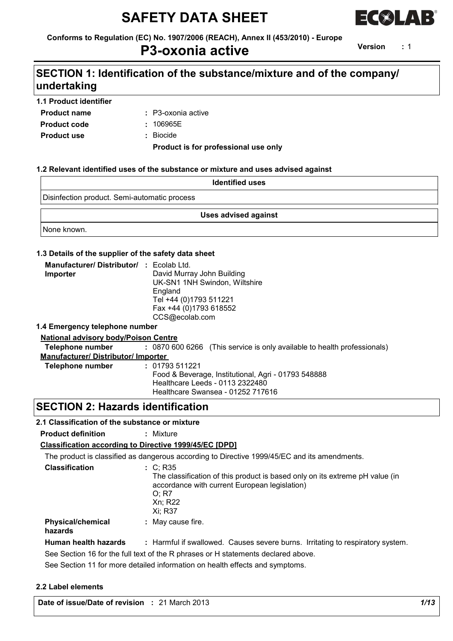# **SAFETY DATA SHEET**



**Conforms to Regulation (EC) No. 1907/2006 (REACH), Annex II (453/2010) - Europe**

### **P3-oxonia active**

**Version :** 1

## **SECTION 1: Identification of the substance/mixture and of the company/ undertaking**

#### **1.1 Product identifier**

- **Product name**
- P3-oxonia active **:**
- **Product code :**
- 106965E
- **Product use :** Biocide

**Product is for professional use only**

#### **1.2 Relevant identified uses of the substance or mixture and uses advised against**

| <b>Identified uses</b>                       |  |  |
|----------------------------------------------|--|--|
| Disinfection product. Semi-automatic process |  |  |
| <b>Uses advised against</b>                  |  |  |
| None known.                                  |  |  |

#### **1.3 Details of the supplier of the safety data sheet**

| <b>Manufacturer/Distributor/ : Ecolab Ltd.</b> |                               |
|------------------------------------------------|-------------------------------|
| Importer                                       | David Murray John Building    |
|                                                | UK-SN1 1NH Swindon, Wiltshire |
|                                                | England                       |
|                                                | Tel +44 (0)1793 511221        |
|                                                | Fax +44 (0)1793 618552        |
|                                                | CCS@ecolab.com                |

#### **1.4 Emergency telephone number**

#### **National advisory body/Poison Centre**

**Telephone number :** 0870 600 6266 (This service is only available to health professionals)

**Manufacturer/ Distributor/ Importer** 

```
Telephone number : 01793 511221
                Food & Beverage, Institutional, Agri - 01793 548888
                Healthcare Leeds - 0113 2322480
                Healthcare Swansea - 01252 717616
```
### **SECTION 2: Hazards identification**

#### **2.1 Classification of the substance or mixture**

**Product definition :** Mixture

#### **Classification according to Directive 1999/45/EC [DPD]**

The product is classified as dangerous according to Directive 1999/45/EC and its amendments.

| <b>Classification</b>               | : C: R35<br>The classification of this product is based only on its extreme pH value (in<br>accordance with current European legislation)<br>0: R7<br>Xn: R22<br>Xi: R37 |  |  |  |  |  |  |  |
|-------------------------------------|--------------------------------------------------------------------------------------------------------------------------------------------------------------------------|--|--|--|--|--|--|--|
| <b>Physical/chemical</b><br>hazards | : May cause fire.                                                                                                                                                        |  |  |  |  |  |  |  |
| Human health hazards                | : Harmful if swallowed. Causes severe burns. Irritating to respiratory system.                                                                                           |  |  |  |  |  |  |  |
|                                     | See Section 16 for the full text of the R phrases or H statements declared above.                                                                                        |  |  |  |  |  |  |  |
|                                     | As a Assidered difference and distributions office and begin to find the conditions of a series of                                                                       |  |  |  |  |  |  |  |

See Section 11 for more detailed information on health effects and symptoms.

#### **2.2 Label elements**

**Date of issue/Date of revision :** 21 March 2013 *1/13*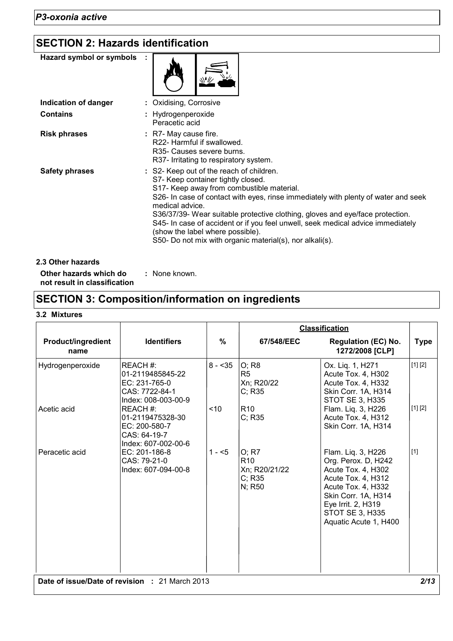# **SECTION 2: Hazards identification**

| Hazard symbol or symbols |                                                                                                                                                                                                                                                                                                                                                                                                                                                                                                          |
|--------------------------|----------------------------------------------------------------------------------------------------------------------------------------------------------------------------------------------------------------------------------------------------------------------------------------------------------------------------------------------------------------------------------------------------------------------------------------------------------------------------------------------------------|
| Indication of danger     | Oxidising, Corrosive                                                                                                                                                                                                                                                                                                                                                                                                                                                                                     |
| <b>Contains</b>          | : Hydrogenperoxide<br>Peracetic acid                                                                                                                                                                                                                                                                                                                                                                                                                                                                     |
| <b>Risk phrases</b>      | : R7- May cause fire.<br>R22- Harmful if swallowed.<br>R <sub>35</sub> - Causes severe burns.<br>R37- Irritating to respiratory system.                                                                                                                                                                                                                                                                                                                                                                  |
| <b>Safety phrases</b>    | : S2- Keep out of the reach of children.<br>S7- Keep container tightly closed.<br>S17- Keep away from combustible material.<br>S26- In case of contact with eyes, rinse immediately with plenty of water and seek<br>medical advice.<br>S36/37/39- Wear suitable protective clothing, gloves and eye/face protection.<br>S45- In case of accident or if you feel unwell, seek medical advice immediately<br>(show the label where possible).<br>S50- Do not mix with organic material(s), nor alkali(s). |
| 2.3 Other hazards        |                                                                                                                                                                                                                                                                                                                                                                                                                                                                                                          |

**Other hazards which do : not result in classification** : None known.

## **SECTION 3: Composition/information on ingredients**

#### **3.2 Mixtures**

|                                   |                                                                                       |          |                                                               | <b>Classification</b>                                                                                                                                                                                |             |
|-----------------------------------|---------------------------------------------------------------------------------------|----------|---------------------------------------------------------------|------------------------------------------------------------------------------------------------------------------------------------------------------------------------------------------------------|-------------|
| <b>Product/ingredient</b><br>name | <b>Identifiers</b>                                                                    | $\%$     | 67/548/EEC                                                    | <b>Regulation (EC) No.</b><br>1272/2008 [CLP]                                                                                                                                                        | <b>Type</b> |
| Hydrogenperoxide                  | REACH#:<br>01-2119485845-22<br>EC: 231-765-0<br>CAS: 7722-84-1<br>Index: 008-003-00-9 | $8 - 35$ | O; R8<br>R <sub>5</sub><br>Xn; R20/22<br>C; R35               | Ox. Liq. 1, H271<br>Acute Tox. 4, H302<br>Acute Tox. 4, H332<br>Skin Corr. 1A, H314<br>STOT SE 3, H335                                                                                               | [1] [2]     |
| Acetic acid                       | REACH#:<br>01-2119475328-30<br>EC: 200-580-7<br>CAS: 64-19-7<br>Index: 607-002-00-6   | ~10      | R <sub>10</sub><br>C; R35                                     | Flam. Liq. 3, H226<br>Acute Tox. 4, H312<br>Skin Corr. 1A, H314                                                                                                                                      | [1] [2]     |
| Peracetic acid                    | EC: 201-186-8<br>CAS: 79-21-0<br>Index: 607-094-00-8                                  | $1 - 5$  | O; R7<br>R <sub>10</sub><br>Xn; R20/21/22<br>C; R35<br>N; R50 | Flam. Liq. 3, H226<br>Org. Perox. D, H242<br>Acute Tox. 4, H302<br>Acute Tox. 4, H312<br>Acute Tox. 4, H332<br>Skin Corr. 1A, H314<br>Eye Irrit. 2, H319<br>STOT SE 3, H335<br>Aquatic Acute 1, H400 | $[1]$       |
|                                   | Date of issue/Date of revision : 21 March 2013                                        |          |                                                               |                                                                                                                                                                                                      | 2/13        |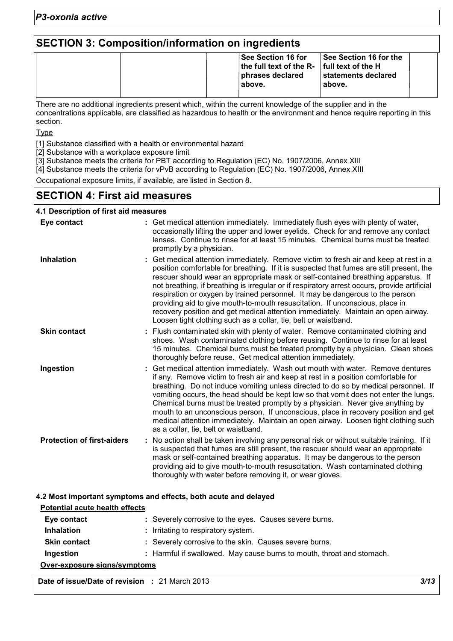## **SECTION 3: Composition/information on ingredients**

| See Section 16 for the<br>∣See Section 16 for<br>the full text of the R- $\vert$ full text of the H<br>statements declared<br>phrases declared<br>l above.<br>above. |  |
|----------------------------------------------------------------------------------------------------------------------------------------------------------------------|--|
|----------------------------------------------------------------------------------------------------------------------------------------------------------------------|--|

There are no additional ingredients present which, within the current knowledge of the supplier and in the concentrations applicable, are classified as hazardous to health or the environment and hence require reporting in this section.

Type

[1] Substance classified with a health or environmental hazard

[2] Substance with a workplace exposure limit

[3] Substance meets the criteria for PBT according to Regulation (EC) No. 1907/2006, Annex XIII

[4] Substance meets the criteria for vPvB according to Regulation (EC) No. 1907/2006, Annex XIII

Occupational exposure limits, if available, are listed in Section 8.

### **SECTION 4: First aid measures**

#### **4.1 Description of first aid measures**

| Eye contact                       | : Get medical attention immediately. Immediately flush eyes with plenty of water,<br>occasionally lifting the upper and lower eyelids. Check for and remove any contact<br>lenses. Continue to rinse for at least 15 minutes. Chemical burns must be treated<br>promptly by a physician.                                                                                                                                                                                                                                                                                                                                                                                                      |
|-----------------------------------|-----------------------------------------------------------------------------------------------------------------------------------------------------------------------------------------------------------------------------------------------------------------------------------------------------------------------------------------------------------------------------------------------------------------------------------------------------------------------------------------------------------------------------------------------------------------------------------------------------------------------------------------------------------------------------------------------|
| <b>Inhalation</b>                 | Get medical attention immediately. Remove victim to fresh air and keep at rest in a<br>position comfortable for breathing. If it is suspected that fumes are still present, the<br>rescuer should wear an appropriate mask or self-contained breathing apparatus. If<br>not breathing, if breathing is irregular or if respiratory arrest occurs, provide artificial<br>respiration or oxygen by trained personnel. It may be dangerous to the person<br>providing aid to give mouth-to-mouth resuscitation. If unconscious, place in<br>recovery position and get medical attention immediately. Maintain an open airway.<br>Loosen tight clothing such as a collar, tie, belt or waistband. |
| <b>Skin contact</b>               | : Flush contaminated skin with plenty of water. Remove contaminated clothing and<br>shoes. Wash contaminated clothing before reusing. Continue to rinse for at least<br>15 minutes. Chemical burns must be treated promptly by a physician. Clean shoes<br>thoroughly before reuse. Get medical attention immediately.                                                                                                                                                                                                                                                                                                                                                                        |
| Ingestion                         | Get medical attention immediately. Wash out mouth with water. Remove dentures<br>if any. Remove victim to fresh air and keep at rest in a position comfortable for<br>breathing. Do not induce vomiting unless directed to do so by medical personnel. If<br>vomiting occurs, the head should be kept low so that vomit does not enter the lungs.<br>Chemical burns must be treated promptly by a physician. Never give anything by<br>mouth to an unconscious person. If unconscious, place in recovery position and get<br>medical attention immediately. Maintain an open airway. Loosen tight clothing such<br>as a collar, tie, belt or waistband.                                       |
| <b>Protection of first-aiders</b> | : No action shall be taken involving any personal risk or without suitable training. If it<br>is suspected that fumes are still present, the rescuer should wear an appropriate<br>mask or self-contained breathing apparatus. It may be dangerous to the person<br>providing aid to give mouth-to-mouth resuscitation. Wash contaminated clothing<br>thoroughly with water before removing it, or wear gloves.                                                                                                                                                                                                                                                                               |

#### **4.2 Most important symptoms and effects, both acute and delayed**

| Potential acute health effects |                                                                       |  |  |  |  |
|--------------------------------|-----------------------------------------------------------------------|--|--|--|--|
| Eye contact                    | : Severely corrosive to the eyes. Causes severe burns.                |  |  |  |  |
| <b>Inhalation</b>              | : Irritating to respiratory system.                                   |  |  |  |  |
| <b>Skin contact</b>            | : Severely corrosive to the skin. Causes severe burns.                |  |  |  |  |
| Ingestion                      | : Harmful if swallowed. May cause burns to mouth, throat and stomach. |  |  |  |  |
| Over-exposure signs/symptoms   |                                                                       |  |  |  |  |

**Date of issue/Date of revision :** 21 March 2013 *3/13*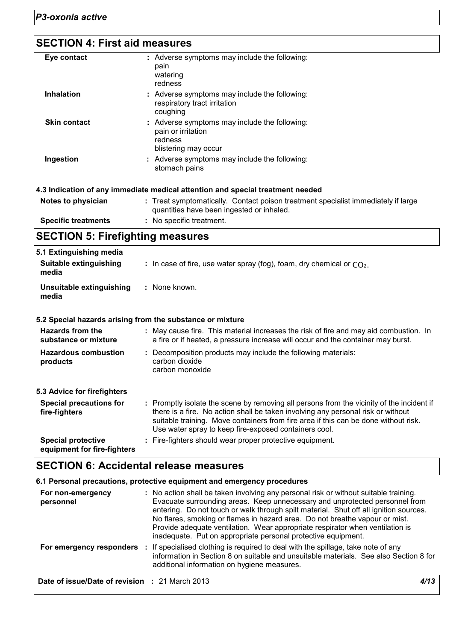| <b>SECTION 4: First aid measures</b> |                                                                                                                                |
|--------------------------------------|--------------------------------------------------------------------------------------------------------------------------------|
| Eye contact                          | : Adverse symptoms may include the following:<br>pain<br>watering<br>redness                                                   |
| <b>Inhalation</b>                    | : Adverse symptoms may include the following:<br>respiratory tract irritation<br>coughing                                      |
| <b>Skin contact</b>                  | : Adverse symptoms may include the following:<br>pain or irritation<br>redness<br>blistering may occur                         |
| Ingestion                            | : Adverse symptoms may include the following:<br>stomach pains                                                                 |
|                                      | 4.3 Indication of any immediate medical attention and special treatment needed                                                 |
| Notes to physician                   | : Treat symptomatically. Contact poison treatment specialist immediately if large<br>quantities have been ingested or inhaled. |
| <b>Specific treatments</b>           | : No specific treatment.                                                                                                       |

|  | <b>SECTION 5: Firefighting measures</b> |  |
|--|-----------------------------------------|--|

| 5.1 Extinguishing media                                  |                                                                                                                                                                                                                                                                                                                               |
|----------------------------------------------------------|-------------------------------------------------------------------------------------------------------------------------------------------------------------------------------------------------------------------------------------------------------------------------------------------------------------------------------|
| Suitable extinguishing<br>media                          | : In case of fire, use water spray (fog), foam, dry chemical or $CO2$ .                                                                                                                                                                                                                                                       |
| Unsuitable extinguishing<br>media                        | : None known.                                                                                                                                                                                                                                                                                                                 |
|                                                          | 5.2 Special hazards arising from the substance or mixture                                                                                                                                                                                                                                                                     |
| Hazards from the<br>substance or mixture                 | : May cause fire. This material increases the risk of fire and may aid combustion. In<br>a fire or if heated, a pressure increase will occur and the container may burst.                                                                                                                                                     |
| <b>Hazardous combustion</b><br>products                  | : Decomposition products may include the following materials:<br>carbon dioxide<br>carbon monoxide                                                                                                                                                                                                                            |
| 5.3 Advice for firefighters                              |                                                                                                                                                                                                                                                                                                                               |
| <b>Special precautions for</b><br>fire-fighters          | : Promptly isolate the scene by removing all persons from the vicinity of the incident if<br>there is a fire. No action shall be taken involving any personal risk or without<br>suitable training. Move containers from fire area if this can be done without risk.<br>Use water spray to keep fire-exposed containers cool. |
| <b>Special protective</b><br>equipment for fire-fighters | : Fire-fighters should wear proper protective equipment.                                                                                                                                                                                                                                                                      |

# **SECTION 6: Accidental release measures**

| 6.1 Personal precautions, protective equipment and emergency procedures |                                                                                                                                                                                                                                                                                                                                                                                                                                                                                               |  |  |  |  |  |
|-------------------------------------------------------------------------|-----------------------------------------------------------------------------------------------------------------------------------------------------------------------------------------------------------------------------------------------------------------------------------------------------------------------------------------------------------------------------------------------------------------------------------------------------------------------------------------------|--|--|--|--|--|
| For non-emergency<br>personnel                                          | : No action shall be taken involving any personal risk or without suitable training.<br>Evacuate surrounding areas. Keep unnecessary and unprotected personnel from<br>entering. Do not touch or walk through spilt material. Shut off all ignition sources.<br>No flares, smoking or flames in hazard area. Do not breathe vapour or mist.<br>Provide adequate ventilation. Wear appropriate respirator when ventilation is<br>inadequate. Put on appropriate personal protective equipment. |  |  |  |  |  |
|                                                                         | For emergency responders : If specialised clothing is required to deal with the spillage, take note of any<br>information in Section 8 on suitable and unsuitable materials. See also Section 8 for<br>additional information on hygiene measures.                                                                                                                                                                                                                                            |  |  |  |  |  |
| Date of issue/Date of revision : 21 March 2013                          | 4/13                                                                                                                                                                                                                                                                                                                                                                                                                                                                                          |  |  |  |  |  |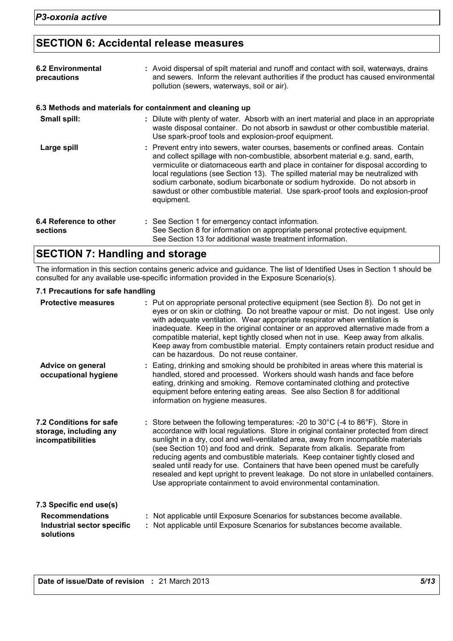### **SECTION 6: Accidental release measures**

| <b>6.2 Environmental</b><br>precautions | : Avoid dispersal of spilt material and runoff and contact with soil, waterways, drains<br>and sewers. Inform the relevant authorities if the product has caused environmental<br>pollution (sewers, waterways, soil or air).                                                                                                                                                                                                                                                                                                 |
|-----------------------------------------|-------------------------------------------------------------------------------------------------------------------------------------------------------------------------------------------------------------------------------------------------------------------------------------------------------------------------------------------------------------------------------------------------------------------------------------------------------------------------------------------------------------------------------|
|                                         | 6.3 Methods and materials for containment and cleaning up                                                                                                                                                                                                                                                                                                                                                                                                                                                                     |
| Small spill:                            | : Dilute with plenty of water. Absorb with an inert material and place in an appropriate<br>waste disposal container. Do not absorb in sawdust or other combustible material.<br>Use spark-proof tools and explosion-proof equipment.                                                                                                                                                                                                                                                                                         |
| Large spill                             | : Prevent entry into sewers, water courses, basements or confined areas. Contain<br>and collect spillage with non-combustible, absorbent material e.g. sand, earth,<br>vermiculite or diatomaceous earth and place in container for disposal according to<br>local regulations (see Section 13). The spilled material may be neutralized with<br>sodium carbonate, sodium bicarbonate or sodium hydroxide. Do not absorb in<br>sawdust or other combustible material. Use spark-proof tools and explosion-proof<br>equipment. |
| 6.4 Reference to other<br>sections      | : See Section 1 for emergency contact information.<br>See Section 8 for information on appropriate personal protective equipment.<br>See Section 13 for additional waste treatment information.                                                                                                                                                                                                                                                                                                                               |

### **SECTION 7: Handling and storage**

The information in this section contains generic advice and guidance. The list of Identified Uses in Section 1 should be consulted for any available use-specific information provided in the Exposure Scenario(s).

#### **7.1 Precautions for safe handling**

| <b>Protective measures</b>                                                                   | : Put on appropriate personal protective equipment (see Section 8). Do not get in<br>eyes or on skin or clothing. Do not breathe vapour or mist. Do not ingest. Use only<br>with adequate ventilation. Wear appropriate respirator when ventilation is<br>inadequate. Keep in the original container or an approved alternative made from a<br>compatible material, kept tightly closed when not in use. Keep away from alkalis.<br>Keep away from combustible material. Empty containers retain product residue and<br>can be hazardous. Do not reuse container.                                                                                                                            |
|----------------------------------------------------------------------------------------------|----------------------------------------------------------------------------------------------------------------------------------------------------------------------------------------------------------------------------------------------------------------------------------------------------------------------------------------------------------------------------------------------------------------------------------------------------------------------------------------------------------------------------------------------------------------------------------------------------------------------------------------------------------------------------------------------|
| Advice on general<br>occupational hygiene                                                    | : Eating, drinking and smoking should be prohibited in areas where this material is<br>handled, stored and processed. Workers should wash hands and face before<br>eating, drinking and smoking. Remove contaminated clothing and protective<br>equipment before entering eating areas. See also Section 8 for additional<br>information on hygiene measures.                                                                                                                                                                                                                                                                                                                                |
| 7.2 Conditions for safe<br>storage, including any<br>incompatibilities                       | : Store between the following temperatures: -20 to $30^{\circ}$ C (-4 to $86^{\circ}$ F). Store in<br>accordance with local regulations. Store in original container protected from direct<br>sunlight in a dry, cool and well-ventilated area, away from incompatible materials<br>(see Section 10) and food and drink. Separate from alkalis. Separate from<br>reducing agents and combustible materials. Keep container tightly closed and<br>sealed until ready for use. Containers that have been opened must be carefully<br>resealed and kept upright to prevent leakage. Do not store in unlabelled containers.<br>Use appropriate containment to avoid environmental contamination. |
| 7.3 Specific end use(s)<br><b>Recommendations</b><br>Industrial sector specific<br>solutions | : Not applicable until Exposure Scenarios for substances become available.<br>: Not applicable until Exposure Scenarios for substances become available.                                                                                                                                                                                                                                                                                                                                                                                                                                                                                                                                     |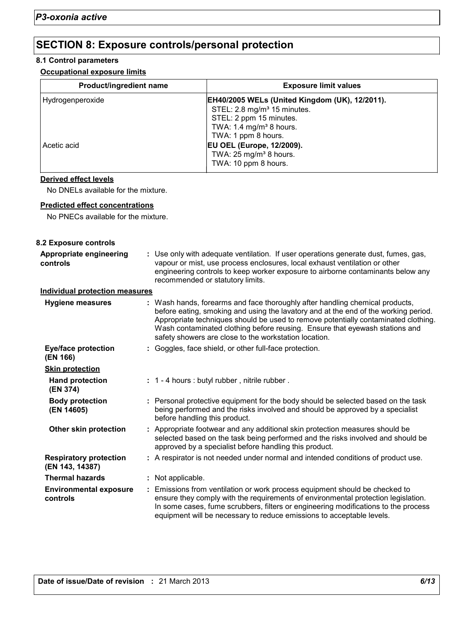### **SECTION 8: Exposure controls/personal protection**

#### **8.1 Control parameters**

#### **Occupational exposure limits**

| <b>Product/ingredient name</b> | <b>Exposure limit values</b>                                                                                                                                                              |
|--------------------------------|-------------------------------------------------------------------------------------------------------------------------------------------------------------------------------------------|
| Hydrogenperoxide               | <b>EH40/2005 WELs (United Kingdom (UK), 12/2011).</b><br>STEL: 2.8 mg/m <sup>3</sup> 15 minutes.<br>STEL: 2 ppm 15 minutes.<br>TWA: 1.4 mg/m <sup>3</sup> 8 hours.<br>TWA: 1 ppm 8 hours. |
| Acetic acid                    | <b>EU OEL (Europe, 12/2009).</b><br>TWA: 25 mg/m <sup>3</sup> 8 hours.<br>TWA: 10 ppm 8 hours.                                                                                            |

#### **Derived effect levels**

No DNELs available for the mixture.

#### **Predicted effect concentrations**

No PNECs available for the mixture.

| 8.2 Exposure controls                            |                                                                                                                                                                                                                                                                                                                                                                                                   |
|--------------------------------------------------|---------------------------------------------------------------------------------------------------------------------------------------------------------------------------------------------------------------------------------------------------------------------------------------------------------------------------------------------------------------------------------------------------|
| Appropriate engineering<br>controls              | : Use only with adequate ventilation. If user operations generate dust, fumes, gas,<br>vapour or mist, use process enclosures, local exhaust ventilation or other<br>engineering controls to keep worker exposure to airborne contaminants below any<br>recommended or statutory limits.                                                                                                          |
| <b>Individual protection measures</b>            |                                                                                                                                                                                                                                                                                                                                                                                                   |
| <b>Hygiene measures</b>                          | : Wash hands, forearms and face thoroughly after handling chemical products,<br>before eating, smoking and using the lavatory and at the end of the working period.<br>Appropriate techniques should be used to remove potentially contaminated clothing.<br>Wash contaminated clothing before reusing. Ensure that eyewash stations and<br>safety showers are close to the workstation location. |
| <b>Eye/face protection</b><br>(EN 166)           | : Goggles, face shield, or other full-face protection.                                                                                                                                                                                                                                                                                                                                            |
| <b>Skin protection</b>                           |                                                                                                                                                                                                                                                                                                                                                                                                   |
| <b>Hand protection</b><br>(EN 374)               | : 1 - 4 hours : butyl rubber, nitrile rubber.                                                                                                                                                                                                                                                                                                                                                     |
| <b>Body protection</b><br>(EN 14605)             | : Personal protective equipment for the body should be selected based on the task<br>being performed and the risks involved and should be approved by a specialist<br>before handling this product.                                                                                                                                                                                               |
| <b>Other skin protection</b>                     | : Appropriate footwear and any additional skin protection measures should be<br>selected based on the task being performed and the risks involved and should be<br>approved by a specialist before handling this product.                                                                                                                                                                         |
| <b>Respiratory protection</b><br>(EN 143, 14387) | : A respirator is not needed under normal and intended conditions of product use.                                                                                                                                                                                                                                                                                                                 |
| <b>Thermal hazards</b>                           | : Not applicable.                                                                                                                                                                                                                                                                                                                                                                                 |
| <b>Environmental exposure</b><br>controls        | : Emissions from ventilation or work process equipment should be checked to<br>ensure they comply with the requirements of environmental protection legislation.<br>In some cases, fume scrubbers, filters or engineering modifications to the process<br>equipment will be necessary to reduce emissions to acceptable levels.                                                                   |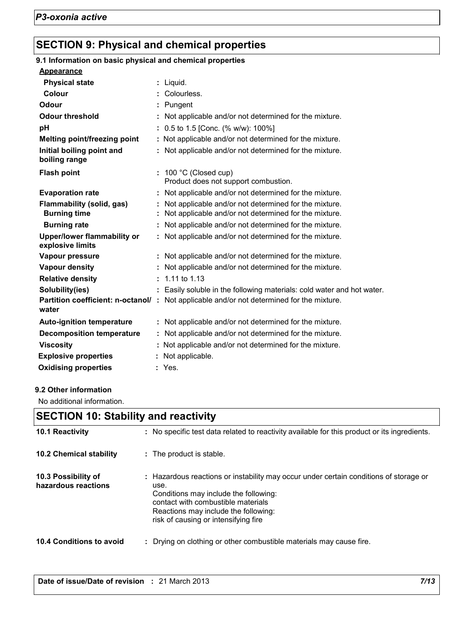## **SECTION 9: Physical and chemical properties**

| 9.1 Information on basic physical and chemical properties |                                                                                                                  |
|-----------------------------------------------------------|------------------------------------------------------------------------------------------------------------------|
| <b>Appearance</b>                                         |                                                                                                                  |
| <b>Physical state</b>                                     | : Liquid.                                                                                                        |
| <b>Colour</b>                                             | : Colourless.                                                                                                    |
| Odour                                                     | : Pungent                                                                                                        |
| <b>Odour threshold</b>                                    | : Not applicable and/or not determined for the mixture.                                                          |
| pH                                                        | : $0.5$ to 1.5 [Conc. (% w/w): 100%]                                                                             |
| <b>Melting point/freezing point</b>                       | : Not applicable and/or not determined for the mixture.                                                          |
| Initial boiling point and<br>boiling range                | : Not applicable and/or not determined for the mixture.                                                          |
| <b>Flash point</b>                                        | $: 100 °C$ (Closed cup)<br>Product does not support combustion.                                                  |
| <b>Evaporation rate</b>                                   | Not applicable and/or not determined for the mixture.                                                            |
| Flammability (solid, gas)<br><b>Burning time</b>          | Not applicable and/or not determined for the mixture.<br>: Not applicable and/or not determined for the mixture. |
| <b>Burning rate</b>                                       | : Not applicable and/or not determined for the mixture.                                                          |
| <b>Upper/lower flammability or</b><br>explosive limits    | : Not applicable and/or not determined for the mixture.                                                          |
| Vapour pressure                                           | : Not applicable and/or not determined for the mixture.                                                          |
| <b>Vapour density</b>                                     | : Not applicable and/or not determined for the mixture.                                                          |
| <b>Relative density</b>                                   | $: 1.11$ to 1.13                                                                                                 |
| Solubility(ies)                                           | : Easily soluble in the following materials: cold water and hot water.                                           |
| water                                                     | Partition coefficient: n-octanol/: Not applicable and/or not determined for the mixture.                         |
| <b>Auto-ignition temperature</b>                          | : Not applicable and/or not determined for the mixture.                                                          |
| <b>Decomposition temperature</b>                          | : Not applicable and/or not determined for the mixture.                                                          |
| <b>Viscosity</b>                                          | : Not applicable and/or not determined for the mixture.                                                          |
| <b>Explosive properties</b>                               | : Not applicable.                                                                                                |
| <b>Oxidising properties</b>                               | : Yes.                                                                                                           |
|                                                           |                                                                                                                  |

#### **9.2 Other information**

No additional information.

## **SECTION 10: Stability and reactivity**

| 10.1 Reactivity                            | : No specific test data related to reactivity available for this product or its ingredients.                                                                                                                                                                 |
|--------------------------------------------|--------------------------------------------------------------------------------------------------------------------------------------------------------------------------------------------------------------------------------------------------------------|
| <b>10.2 Chemical stability</b>             | : The product is stable.                                                                                                                                                                                                                                     |
| 10.3 Possibility of<br>hazardous reactions | : Hazardous reactions or instability may occur under certain conditions of storage or<br>use.<br>Conditions may include the following:<br>contact with combustible materials<br>Reactions may include the following:<br>risk of causing or intensifying fire |
| <b>10.4 Conditions to avoid</b>            | Drying on clothing or other combustible materials may cause fire.                                                                                                                                                                                            |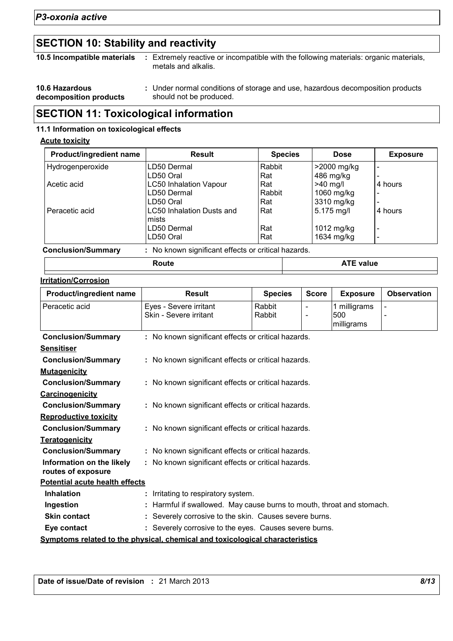## **SECTION 10: Stability and reactivity**

| 10.5 Incompatible materials                     | Extremely reactive or incompatible with the following materials: organic materials,<br>metals and alkalis. |  |
|-------------------------------------------------|------------------------------------------------------------------------------------------------------------|--|
| <b>10.6 Hazardous</b><br>decomposition products | : Under normal conditions of storage and use, hazardous decomposition products<br>should not be produced.  |  |

## **SECTION 11: Toxicological information**

#### **11.1 Information on toxicological effects**

#### **Acute toxicity**

| Product/ingredient name   | <b>Result</b>                                       | <b>Species</b> | <b>Dose</b>      | <b>Exposure</b> |
|---------------------------|-----------------------------------------------------|----------------|------------------|-----------------|
| Hydrogenperoxide          | LD50 Dermal                                         | Rabbit         | >2000 mg/kg      |                 |
|                           | LD50 Oral                                           | Rat            | 486 mg/kg        |                 |
| Acetic acid               | <b>LC50 Inhalation Vapour</b>                       | Rat            | $>40$ mg/        | 4 hours         |
|                           | LD50 Dermal                                         | Rabbit         | 1060 mg/kg       |                 |
|                           | LD50 Oral                                           | Rat            | 3310 mg/kg       |                 |
| Peracetic acid            | LC50 Inhalation Dusts and<br>mists                  | Rat            | 5.175 mg/l       | 4 hours         |
|                           | LD50 Dermal                                         | Rat            | 1012 mg/kg       |                 |
|                           | LD50 Oral                                           | Rat            | 1634 mg/kg       |                 |
| <b>Conclusion/Summary</b> | : No known significant effects or critical hazards. |                |                  |                 |
|                           | Route                                               |                | <b>ATE value</b> |                 |

#### **Irritation/Corrosion**

| Product/ingredient name               | <b>Result</b>                                                                | <b>Species</b> | <b>Score</b>   | <b>Exposure</b> | <b>Observation</b> |
|---------------------------------------|------------------------------------------------------------------------------|----------------|----------------|-----------------|--------------------|
| Peracetic acid                        | Eyes - Severe irritant                                                       | Rabbit         | $\blacksquare$ | 1 milligrams    |                    |
|                                       | Skin - Severe irritant                                                       | Rabbit         |                | 500             |                    |
|                                       |                                                                              |                |                | milligrams      |                    |
| <b>Conclusion/Summary</b>             | : No known significant effects or critical hazards.                          |                |                |                 |                    |
| <b>Sensitiser</b>                     |                                                                              |                |                |                 |                    |
| <b>Conclusion/Summary</b>             | : No known significant effects or critical hazards.                          |                |                |                 |                    |
| <b>Mutagenicity</b>                   |                                                                              |                |                |                 |                    |
| <b>Conclusion/Summary</b>             | : No known significant effects or critical hazards.                          |                |                |                 |                    |
| Carcinogenicity                       |                                                                              |                |                |                 |                    |
| <b>Conclusion/Summary</b>             | : No known significant effects or critical hazards.                          |                |                |                 |                    |
| <b>Reproductive toxicity</b>          |                                                                              |                |                |                 |                    |
| <b>Conclusion/Summary</b>             | : No known significant effects or critical hazards.                          |                |                |                 |                    |
| <b>Teratogenicity</b>                 |                                                                              |                |                |                 |                    |
| <b>Conclusion/Summary</b>             | : No known significant effects or critical hazards.                          |                |                |                 |                    |
| Information on the likely             | : No known significant effects or critical hazards.                          |                |                |                 |                    |
| routes of exposure                    |                                                                              |                |                |                 |                    |
| <b>Potential acute health effects</b> |                                                                              |                |                |                 |                    |
| <b>Inhalation</b>                     | Irritating to respiratory system.                                            |                |                |                 |                    |
| Ingestion                             | : Harmful if swallowed. May cause burns to mouth, throat and stomach.        |                |                |                 |                    |
| <b>Skin contact</b>                   | : Severely corrosive to the skin. Causes severe burns.                       |                |                |                 |                    |
| Eye contact                           | : Severely corrosive to the eyes. Causes severe burns.                       |                |                |                 |                    |
|                                       | Symptoms related to the physical, chemical and toxicological characteristics |                |                |                 |                    |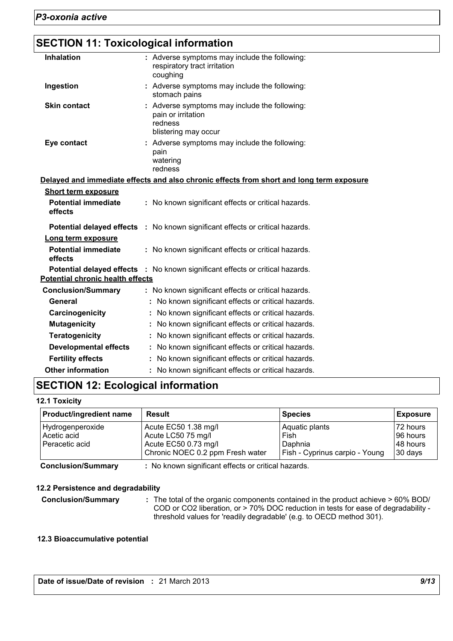## **SECTION 11: Toxicological information**

| <b>Inhalation</b>          | : Adverse symptoms may include the following:<br>respiratory tract irritation<br>coughing              |
|----------------------------|--------------------------------------------------------------------------------------------------------|
| Ingestion                  | : Adverse symptoms may include the following:<br>stomach pains                                         |
| <b>Skin contact</b>        | : Adverse symptoms may include the following:<br>pain or irritation<br>redness<br>blistering may occur |
| Eye contact                | : Adverse symptoms may include the following:<br>pain<br>watering<br>redness                           |
|                            | Delayed and immediate effects and also chronic effects from short and long term exposure               |
| <b>Short term exposure</b> |                                                                                                        |

| <b>Potential immediate</b><br>effects   | : No known significant effects or critical hazards.                                  |
|-----------------------------------------|--------------------------------------------------------------------------------------|
|                                         | <b>Potential delayed effects</b> : No known significant effects or critical hazards. |
| Long term exposure                      |                                                                                      |
| <b>Potential immediate</b><br>effects   | : No known significant effects or critical hazards.                                  |
|                                         | Potential delayed effects : No known significant effects or critical hazards.        |
| <b>Potential chronic health effects</b> |                                                                                      |
| <b>Conclusion/Summary</b>               | : No known significant effects or critical hazards.                                  |
| General                                 | : No known significant effects or critical hazards.                                  |
| Carcinogenicity                         | : No known significant effects or critical hazards.                                  |
| <b>Mutagenicity</b>                     | : No known significant effects or critical hazards.                                  |
| <b>Teratogenicity</b>                   | : No known significant effects or critical hazards.                                  |
| Developmental effects                   | : No known significant effects or critical hazards.                                  |
| <b>Fertility effects</b>                | : No known significant effects or critical hazards.                                  |
| <b>Other information</b>                | : No known significant effects or critical hazards.                                  |

## **SECTION 12: Ecological information**

#### **12.1 Toxicity**

| <b>Product/ingredient name</b> | Result                           | <b>Species</b>                 | <b>Exposure</b> |
|--------------------------------|----------------------------------|--------------------------------|-----------------|
| Hydrogenperoxide               | Acute EC50 1.38 mg/l             | Aquatic plants                 | 172 hours       |
| Acetic acid                    | Acute LC50 75 mg/l               | Fish                           | 96 hours        |
| Peracetic acid                 | Acute EC50 0.73 mg/l             | Daphnia                        | 148 hours       |
|                                | Chronic NOEC 0.2 ppm Fresh water | Fish - Cyprinus carpio - Young | 30 days         |

**Conclusion/Summary :** No known significant effects or critical hazards.

#### **12.2 Persistence and degradability**

**Conclusion/Summary :** The total of the organic components contained in the product achieve > 60% BOD/ COD or CO2 liberation, or > 70% DOC reduction in tests for ease of degradability threshold values for 'readily degradable' (e.g. to OECD method 301).

#### **12.3 Bioaccumulative potential**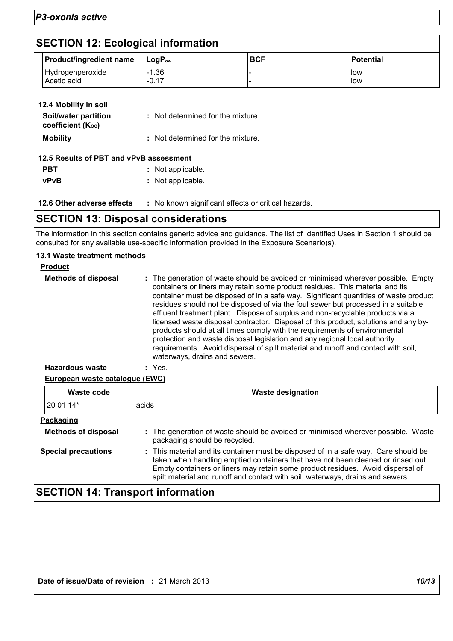### **SECTION 12: Ecological information**

| <b>Product/ingredient name</b>  | $\mathsf{Loa}\mathsf{P}_{\mathsf{ow}}$ | <b>BCF</b> | <b>Potential</b> |
|---------------------------------|----------------------------------------|------------|------------------|
| Hydrogenperoxide<br>Acetic acid | $-1.36$<br>$-0.17$                     |            | llow<br>l low    |

| 12.4 Mobility in soil                     |                                   |
|-------------------------------------------|-----------------------------------|
| Soil/water partition<br>coefficient (Koc) | : Not determined for the mixture. |
| <b>Mobility</b>                           | : Not determined for the mixture. |
| 12.5 Results of PBT and vPvB assessment   |                                   |
| PBT                                       | Not applicable.                   |
| <b>vPvB</b>                               | : Not applicable.                 |
|                                           |                                   |

**12.6 Other adverse effects** : No known significant effects or critical hazards.

### **SECTION 13: Disposal considerations**

The information in this section contains generic advice and guidance. The list of Identified Uses in Section 1 should be consulted for any available use-specific information provided in the Exposure Scenario(s).

#### **13.1 Waste treatment methods**

| <b>Product</b>             |                                                                                                                                                                                                                                                                                                                                                                                                                                                                                                                                                                                                                                                                                                                                                                                                           |
|----------------------------|-----------------------------------------------------------------------------------------------------------------------------------------------------------------------------------------------------------------------------------------------------------------------------------------------------------------------------------------------------------------------------------------------------------------------------------------------------------------------------------------------------------------------------------------------------------------------------------------------------------------------------------------------------------------------------------------------------------------------------------------------------------------------------------------------------------|
| <b>Methods of disposal</b> | : The generation of waste should be avoided or minimised wherever possible. Empty<br>containers or liners may retain some product residues. This material and its<br>container must be disposed of in a safe way. Significant quantities of waste product<br>residues should not be disposed of via the foul sewer but processed in a suitable<br>effluent treatment plant. Dispose of surplus and non-recyclable products via a<br>licensed waste disposal contractor. Disposal of this product, solutions and any by-<br>products should at all times comply with the requirements of environmental<br>protection and waste disposal legislation and any regional local authority<br>requirements. Avoid dispersal of spilt material and runoff and contact with soil,<br>waterways, drains and sewers. |
|                            |                                                                                                                                                                                                                                                                                                                                                                                                                                                                                                                                                                                                                                                                                                                                                                                                           |

#### **European waste catalogue (EWC) Hazardous waste :** Yes.

| Waste code                 | <b>Waste designation</b>                                                                                                                                                                                                                                                                                                                     |  |
|----------------------------|----------------------------------------------------------------------------------------------------------------------------------------------------------------------------------------------------------------------------------------------------------------------------------------------------------------------------------------------|--|
| 20 01 14*                  | acids                                                                                                                                                                                                                                                                                                                                        |  |
| Packaging                  |                                                                                                                                                                                                                                                                                                                                              |  |
| <b>Methods of disposal</b> | : The generation of waste should be avoided or minimised wherever possible. Waste<br>packaging should be recycled.                                                                                                                                                                                                                           |  |
| <b>Special precautions</b> | : This material and its container must be disposed of in a safe way. Care should be<br>taken when handling emptied containers that have not been cleaned or rinsed out.<br>Empty containers or liners may retain some product residues. Avoid dispersal of<br>spilt material and runoff and contact with soil, waterways, drains and sewers. |  |

## **SECTION 14: Transport information**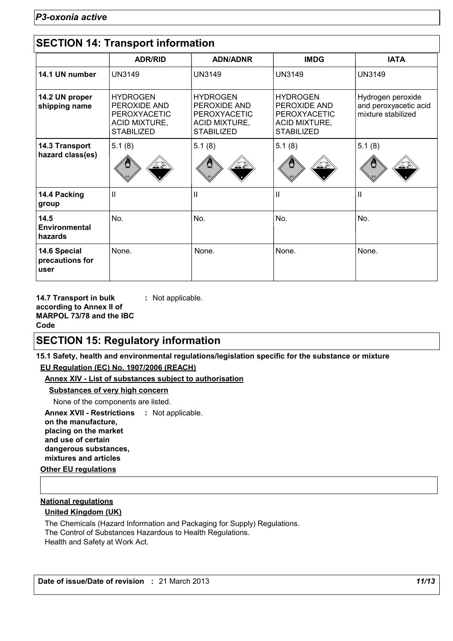|                                         | <b>ADR/RID</b>                                                                               | <b>ADN/ADNR</b>                                                                       | <b>IMDG</b>                                                                                  | <b>IATA</b>                                                      |
|-----------------------------------------|----------------------------------------------------------------------------------------------|---------------------------------------------------------------------------------------|----------------------------------------------------------------------------------------------|------------------------------------------------------------------|
| 14.1 UN number                          | <b>UN3149</b>                                                                                | <b>UN3149</b>                                                                         | <b>UN3149</b>                                                                                | <b>UN3149</b>                                                    |
| 14.2 UN proper<br>shipping name         | <b>HYDROGEN</b><br>PEROXIDE AND<br>PEROXYACETIC<br><b>ACID MIXTURE,</b><br><b>STABILIZED</b> | <b>HYDROGEN</b><br>PEROXIDE AND<br>PEROXYACETIC<br>ACID MIXTURE,<br><b>STABILIZED</b> | <b>HYDROGEN</b><br>PEROXIDE AND<br>PEROXYACETIC<br><b>ACID MIXTURE,</b><br><b>STABILIZED</b> | Hydrogen peroxide<br>and peroxyacetic acid<br>mixture stabilized |
| 14.3 Transport<br>hazard class(es)      | 5.1(8)<br>پختی کند                                                                           | 5.1(8)                                                                                | 5.1(8)                                                                                       | 5.1(8)                                                           |
| 14.4 Packing<br>group                   | Ш                                                                                            | Ш                                                                                     | $\mathbf{I}$                                                                                 | $\mathbf{H}$                                                     |
| 14.5<br><b>Environmental</b><br>hazards | No.                                                                                          | No.                                                                                   | No.                                                                                          | No.                                                              |
| 14.6 Special<br>precautions for<br>user | None.                                                                                        | None.                                                                                 | None.                                                                                        | None.                                                            |

**14.7 Transport in bulk according to Annex II of MARPOL 73/78 and the IBC Code**

**:** Not applicable.

### **SECTION 15: Regulatory information**

**15.1 Safety, health and environmental regulations/legislation specific for the substance or mixture EU Regulation (EC) No. 1907/2006 (REACH)**

#### **Annex XIV - List of substances subject to authorisation**

#### **Substances of very high concern**

None of the components are listed.

**Other EU regulations Annex XVII - Restrictions : Not applicable. on the manufacture, placing on the market and use of certain dangerous substances, mixtures and articles**

#### **National regulations**

#### **United Kingdom (UK)**

The Chemicals (Hazard Information and Packaging for Supply) Regulations. The Control of Substances Hazardous to Health Regulations. Health and Safety at Work Act.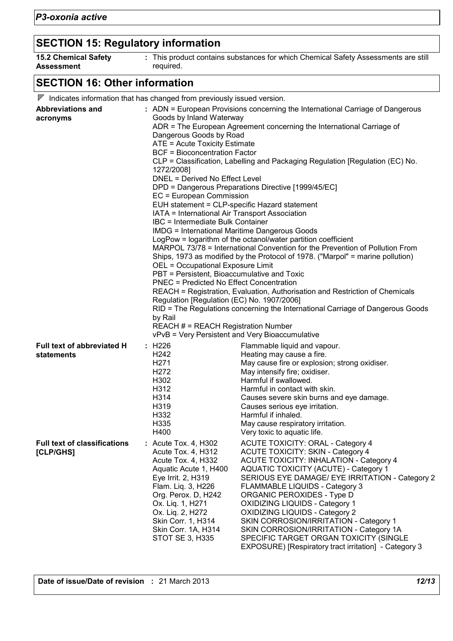# **SECTION 15: Regulatory information**

| <b>15.2 Chemical Safety</b> | This product contains substances for which Chemical Safety Assessments are still |
|-----------------------------|----------------------------------------------------------------------------------|
| <b>Assessment</b>           | required.                                                                        |

# **SECTION 16: Other information**

| <b>Abbreviations and</b><br>acronyms             | 1272/2008]<br>by Rail                                                                                                                                                                                                                                                | $\nabla$ Indicates information that has changed from previously issued version.<br>: ADN = European Provisions concerning the International Carriage of Dangerous<br>Goods by Inland Waterway<br>ADR = The European Agreement concerning the International Carriage of<br>Dangerous Goods by Road<br>ATE = Acute Toxicity Estimate<br><b>BCF = Bioconcentration Factor</b><br>CLP = Classification, Labelling and Packaging Regulation [Regulation (EC) No.<br>DNEL = Derived No Effect Level<br>DPD = Dangerous Preparations Directive [1999/45/EC]<br>EC = European Commission<br>EUH statement = CLP-specific Hazard statement<br>IATA = International Air Transport Association<br><b>IBC</b> = Intermediate Bulk Container<br><b>IMDG = International Maritime Dangerous Goods</b><br>LogPow = logarithm of the octanol/water partition coefficient<br>MARPOL 73/78 = International Convention for the Prevention of Pollution From<br>Ships, 1973 as modified by the Protocol of 1978. ("Marpol" = marine pollution)<br>OEL = Occupational Exposure Limit<br>PBT = Persistent, Bioaccumulative and Toxic<br><b>PNEC = Predicted No Effect Concentration</b><br>REACH = Registration, Evaluation, Authorisation and Restriction of Chemicals<br>Regulation [Regulation (EC) No. 1907/2006]<br>RID = The Regulations concerning the International Carriage of Dangerous Goods<br><b>REACH # = REACH Registration Number</b><br>vPvB = Very Persistent and Very Bioaccumulative<br>Flammable liquid and vapour. |  |
|--------------------------------------------------|----------------------------------------------------------------------------------------------------------------------------------------------------------------------------------------------------------------------------------------------------------------------|--------------------------------------------------------------------------------------------------------------------------------------------------------------------------------------------------------------------------------------------------------------------------------------------------------------------------------------------------------------------------------------------------------------------------------------------------------------------------------------------------------------------------------------------------------------------------------------------------------------------------------------------------------------------------------------------------------------------------------------------------------------------------------------------------------------------------------------------------------------------------------------------------------------------------------------------------------------------------------------------------------------------------------------------------------------------------------------------------------------------------------------------------------------------------------------------------------------------------------------------------------------------------------------------------------------------------------------------------------------------------------------------------------------------------------------------------------------------------------------------------------------------|--|
| Full text of abbreviated H<br>statements         | : H226<br>H242<br>H <sub>271</sub><br>H <sub>272</sub><br>H302<br>H312<br>H314<br>H319<br>H332<br>H335<br>H400                                                                                                                                                       | Heating may cause a fire.<br>May cause fire or explosion; strong oxidiser.<br>May intensify fire; oxidiser.<br>Harmful if swallowed.<br>Harmful in contact with skin.<br>Causes severe skin burns and eye damage.<br>Causes serious eye irritation.<br>Harmful if inhaled.<br>May cause respiratory irritation.<br>Very toxic to aquatic life.                                                                                                                                                                                                                                                                                                                                                                                                                                                                                                                                                                                                                                                                                                                                                                                                                                                                                                                                                                                                                                                                                                                                                                     |  |
| <b>Full text of classifications</b><br>[CLP/GHS] | : Acute Tox. 4, H302<br>Acute Tox. 4, H312<br>Acute Tox. 4, H332<br>Aquatic Acute 1, H400<br>Eye Irrit. 2, H319<br>Flam. Liq. 3, H226<br>Org. Perox. D, H242<br>Ox. Liq. 1, H271<br>Ox. Liq. 2, H272<br>Skin Corr. 1, H314<br>Skin Corr. 1A, H314<br>STOT SE 3, H335 | <b>ACUTE TOXICITY: ORAL - Category 4</b><br><b>ACUTE TOXICITY: SKIN - Category 4</b><br>ACUTE TOXICITY: INHALATION - Category 4<br><b>AQUATIC TOXICITY (ACUTE) - Category 1</b><br>SERIOUS EYE DAMAGE/ EYE IRRITATION - Category 2<br><b>FLAMMABLE LIQUIDS - Category 3</b><br>ORGANIC PEROXIDES - Type D<br><b>OXIDIZING LIQUIDS - Category 1</b><br><b>OXIDIZING LIQUIDS - Category 2</b><br>SKIN CORROSION/IRRITATION - Category 1<br>SKIN CORROSION/IRRITATION - Category 1A<br>SPECIFIC TARGET ORGAN TOXICITY (SINGLE<br>EXPOSURE) [Respiratory tract irritation] - Category 3                                                                                                                                                                                                                                                                                                                                                                                                                                                                                                                                                                                                                                                                                                                                                                                                                                                                                                                                |  |